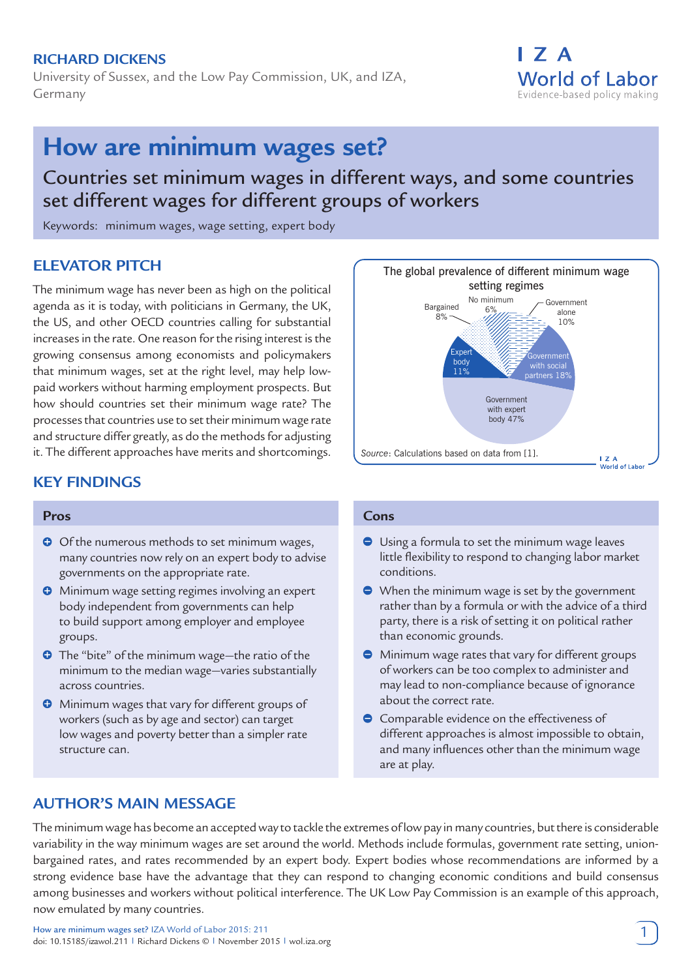## **Richard Dickens**

University of Sussex, and the Low Pay Commission, UK, and IZA, Germany

## I 7 A **World of Labor** Evidence-based policy making

# **How are minimum wages set?**

## Countries set minimum wages in different ways, and some countries set different wages for different groups of workers

Keywords: minimum wages, wage setting, expert body

## **ELEVATOR PITCH**

The minimum wage has never been as high on the political agenda as it is today, with politicians in Germany, the UK, the US, and other OECD countries calling for substantial increases in the rate. One reason for the rising interest is the growing consensus among economists and policymakers that minimum wages, set at the right level, may help lowpaid workers without harming employment prospects. But how should countries set their minimum wage rate? The processes that countries use to set their minimum wage rate and structure differ greatly, as do the methods for adjusting it. The different approaches have merits and shortcomings.

## **KEY FINDINGS**

#### **Pros**

- **O** Of the numerous methods to set minimum wages, many countries now rely on an expert body to advise governments on the appropriate rate.
- **O** Minimum wage setting regimes involving an expert body independent from governments can help to build support among employer and employee groups.
- **O** The "bite" of the minimum wage—the ratio of the minimum to the median wage—varies substantially across countries.
- **O** Minimum wages that vary for different groups of workers (such as by age and sector) can target low wages and poverty better than a simpler rate structure can.

#### The global prevalence of different minimum wage setting regimes No minimum Government Bargained 6%alone  $8%$ 10% Expert Government body with social 11% partners 18% Government with expert body 47% *Source*: Calculations based on data from [1].  $IZA$ . . . .<br>World of Labor

#### **Cons**

- Using a formula to set the minimum wage leaves little flexibility to respond to changing labor market conditions.
- When the minimum wage is set by the government rather than by a formula or with the advice of a third party, there is a risk of setting it on political rather than economic grounds.
- Minimum wage rates that vary for different groups of workers can be too complex to administer and may lead to non-compliance because of ignorance about the correct rate.
- **Comparable evidence on the effectiveness of** different approaches is almost impossible to obtain, and many influences other than the minimum wage are at play.

## **AUTHOR'S MAIN MESSAGE**

The minimum wage has become an accepted way to tackle the extremes of low pay in many countries, but there is considerable variability in the way minimum wages are set around the world. Methods include formulas, government rate setting, unionbargained rates, and rates recommended by an expert body. Expert bodies whose recommendations are informed by a strong evidence base have the advantage that they can respond to changing economic conditions and build consensus among businesses and workers without political interference. The UK Low Pay Commission is an example of this approach, now emulated by many countries.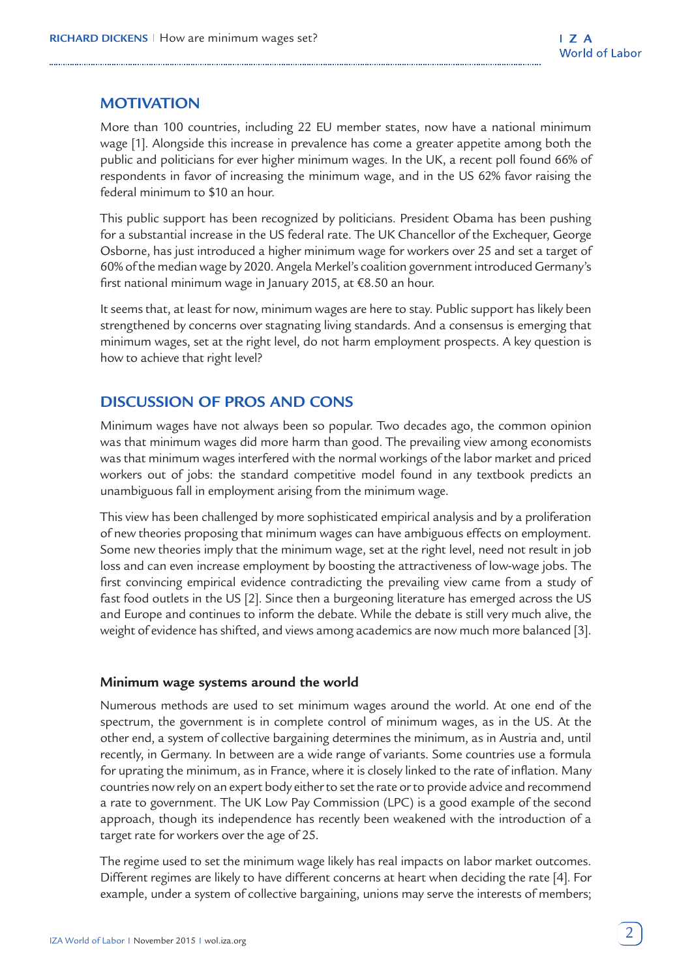## **MOTIVATION**

More than 100 countries, including 22 EU member states, now have a national minimum wage [1]. Alongside this increase in prevalence has come a greater appetite among both the public and politicians for ever higher minimum wages. In the UK, a recent poll found 66% of respondents in favor of increasing the minimum wage, and in the US 62% favor raising the federal minimum to \$10 an hour.

This public support has been recognized by politicians. President Obama has been pushing for a substantial increase in the US federal rate. The UK Chancellor of the Exchequer, George Osborne, has just introduced a higher minimum wage for workers over 25 and set a target of 60% of the median wage by 2020. Angela Merkel's coalition government introduced Germany's first national minimum wage in January 2015, at €8.50 an hour.

It seems that, at least for now, minimum wages are here to stay. Public support has likely been strengthened by concerns over stagnating living standards. And a consensus is emerging that minimum wages, set at the right level, do not harm employment prospects. A key question is how to achieve that right level?

## **DISCUSSION OF PROS AND CONS**

Minimum wages have not always been so popular. Two decades ago, the common opinion was that minimum wages did more harm than good. The prevailing view among economists was that minimum wages interfered with the normal workings of the labor market and priced workers out of jobs: the standard competitive model found in any textbook predicts an unambiguous fall in employment arising from the minimum wage.

This view has been challenged by more sophisticated empirical analysis and by a proliferation of new theories proposing that minimum wages can have ambiguous effects on employment. Some new theories imply that the minimum wage, set at the right level, need not result in job loss and can even increase employment by boosting the attractiveness of low-wage jobs. The first convincing empirical evidence contradicting the prevailing view came from a study of fast food outlets in the US [2]. Since then a burgeoning literature has emerged across the US and Europe and continues to inform the debate. While the debate is still very much alive, the weight of evidence has shifted, and views among academics are now much more balanced [3].

## **Minimum wage systems around the world**

Numerous methods are used to set minimum wages around the world. At one end of the spectrum, the government is in complete control of minimum wages, as in the US. At the other end, a system of collective bargaining determines the minimum, as in Austria and, until recently, in Germany. In between are a wide range of variants. Some countries use a formula for uprating the minimum, as in France, where it is closely linked to the rate of inflation. Many countries now rely on an expert body either to set the rate or to provide advice and recommend a rate to government. The UK Low Pay Commission (LPC) is a good example of the second approach, though its independence has recently been weakened with the introduction of a target rate for workers over the age of 25.

The regime used to set the minimum wage likely has real impacts on labor market outcomes. Different regimes are likely to have different concerns at heart when deciding the rate [4]. For example, under a system of collective bargaining, unions may serve the interests of members;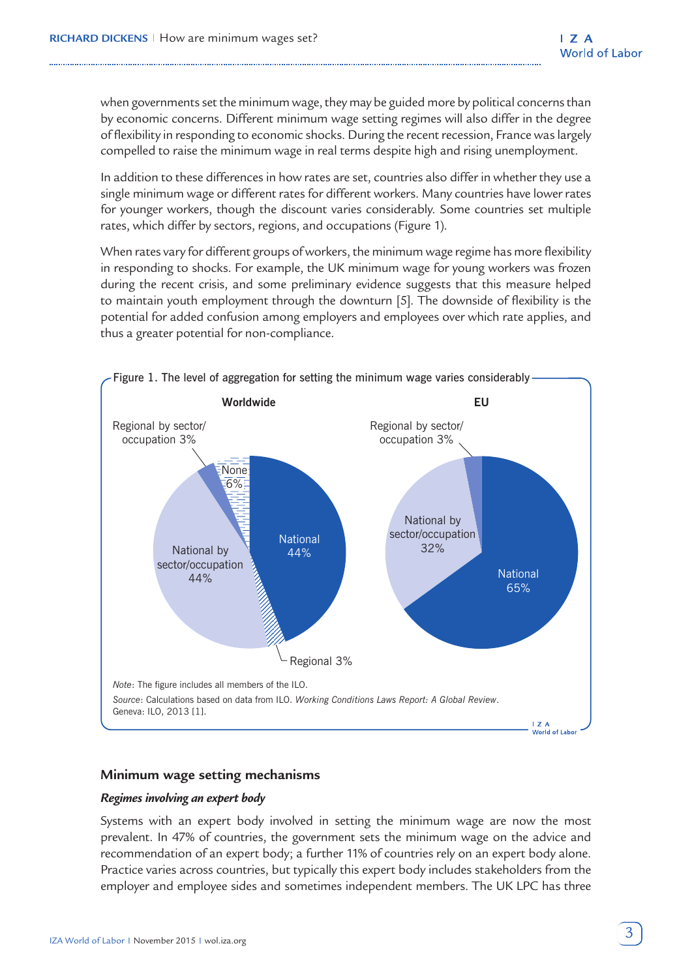when governments set the minimum wage, they may be guided more by political concerns than by economic concerns. Different minimum wage setting regimes will also differ in the degree of flexibility in responding to economic shocks. During the recent recession, France was largely compelled to raise the minimum wage in real terms despite high and rising unemployment.

In addition to these differences in how rates are set, countries also differ in whether they use a single minimum wage or different rates for different workers. Many countries have lower rates for younger workers, though the discount varies considerably. Some countries set multiple rates, which differ by sectors, regions, and occupations (Figure 1).

When rates vary for different groups of workers, the minimum wage regime has more flexibility in responding to shocks. For example, the UK minimum wage for young workers was frozen during the recent crisis, and some preliminary evidence suggests that this measure helped to maintain youth employment through the downturn [5]. The downside of flexibility is the potential for added confusion among employers and employees over which rate applies, and thus a greater potential for non-compliance.



## **Minimum wage setting mechanisms**

#### *Regimes involving an expert body*

Systems with an expert body involved in setting the minimum wage are now the most prevalent. In 47% of countries, the government sets the minimum wage on the advice and recommendation of an expert body; a further 11% of countries rely on an expert body alone. Practice varies across countries, but typically this expert body includes stakeholders from the employer and employee sides and sometimes independent members. The UK LPC has three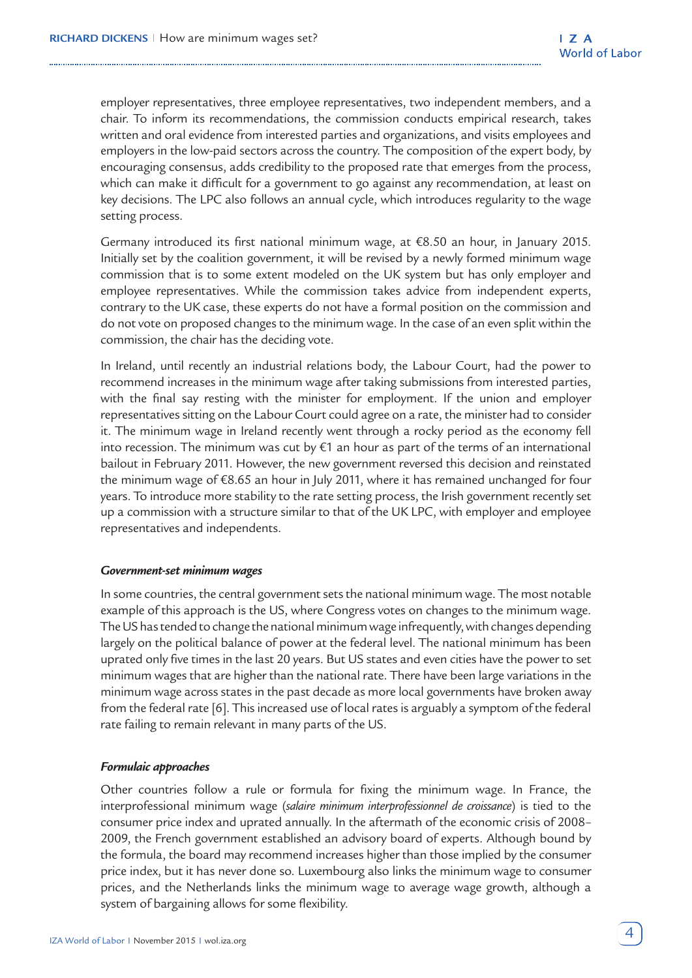employer representatives, three employee representatives, two independent members, and a chair. To inform its recommendations, the commission conducts empirical research, takes written and oral evidence from interested parties and organizations, and visits employees and employers in the low-paid sectors across the country. The composition of the expert body, by encouraging consensus, adds credibility to the proposed rate that emerges from the process, which can make it difficult for a government to go against any recommendation, at least on key decisions. The LPC also follows an annual cycle, which introduces regularity to the wage setting process.

Germany introduced its first national minimum wage, at €8.50 an hour, in January 2015. Initially set by the coalition government, it will be revised by a newly formed minimum wage commission that is to some extent modeled on the UK system but has only employer and employee representatives. While the commission takes advice from independent experts, contrary to the UK case, these experts do not have a formal position on the commission and do not vote on proposed changes to the minimum wage. In the case of an even split within the commission, the chair has the deciding vote.

In Ireland, until recently an industrial relations body, the Labour Court, had the power to recommend increases in the minimum wage after taking submissions from interested parties, with the final say resting with the minister for employment. If the union and employer representatives sitting on the Labour Court could agree on a rate, the minister had to consider it. The minimum wage in Ireland recently went through a rocky period as the economy fell into recession. The minimum was cut by €1 an hour as part of the terms of an international bailout in February 2011. However, the new government reversed this decision and reinstated the minimum wage of €8.65 an hour in July 2011, where it has remained unchanged for four years. To introduce more stability to the rate setting process, the Irish government recently set up a commission with a structure similar to that of the UK LPC, with employer and employee representatives and independents.

#### *Government-set minimum wages*

In some countries, the central government sets the national minimum wage. The most notable example of this approach is the US, where Congress votes on changes to the minimum wage. The US has tended to change the national minimum wage infrequently, with changes depending largely on the political balance of power at the federal level. The national minimum has been uprated only five times in the last 20 years. But US states and even cities have the power to set minimum wages that are higher than the national rate. There have been large variations in the minimum wage across states in the past decade as more local governments have broken away from the federal rate [6]. This increased use of local rates is arguably a symptom of the federal rate failing to remain relevant in many parts of the US.

#### *Formulaic approaches*

Other countries follow a rule or formula for fixing the minimum wage. In France, the interprofessional minimum wage (*salaire minimum interprofessionnel de croissance*) is tied to the consumer price index and uprated annually. In the aftermath of the economic crisis of 2008– 2009, the French government established an advisory board of experts. Although bound by the formula, the board may recommend increases higher than those implied by the consumer price index, but it has never done so. Luxembourg also links the minimum wage to consumer prices, and the Netherlands links the minimum wage to average wage growth, although a system of bargaining allows for some flexibility.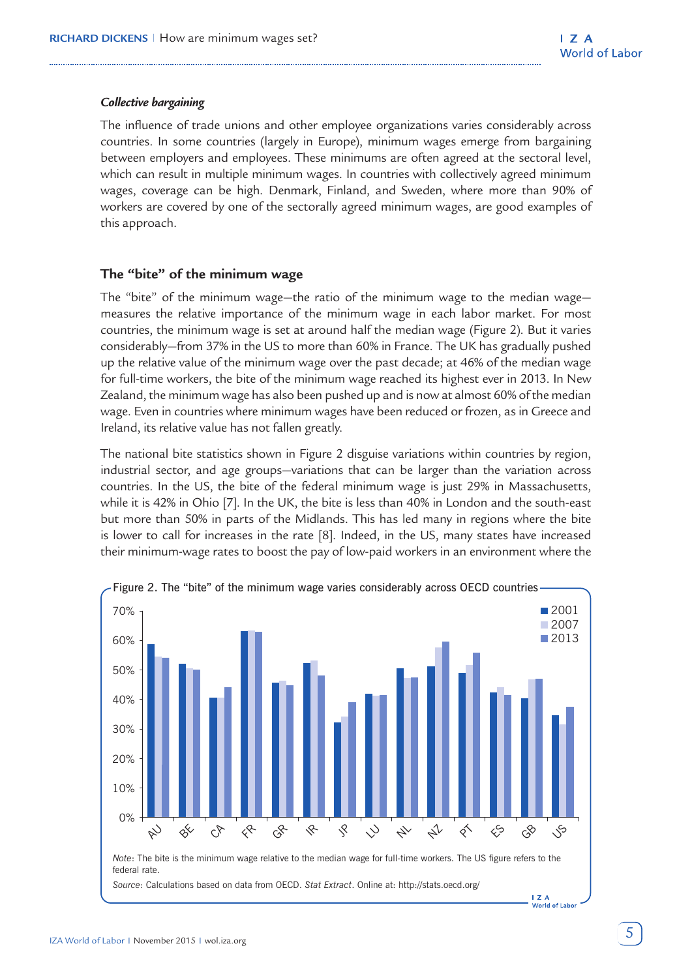#### *Collective bargaining*

The influence of trade unions and other employee organizations varies considerably across countries. In some countries (largely in Europe), minimum wages emerge from bargaining between employers and employees. These minimums are often agreed at the sectoral level, which can result in multiple minimum wages. In countries with collectively agreed minimum wages, coverage can be high. Denmark, Finland, and Sweden, where more than 90% of workers are covered by one of the sectorally agreed minimum wages, are good examples of this approach.

## **The "bite" of the minimum wage**

The "bite" of the minimum wage—the ratio of the minimum wage to the median wage measures the relative importance of the minimum wage in each labor market. For most countries, the minimum wage is set at around half the median wage (Figure 2). But it varies considerably—from 37% in the US to more than 60% in France. The UK has gradually pushed up the relative value of the minimum wage over the past decade; at 46% of the median wage for full-time workers, the bite of the minimum wage reached its highest ever in 2013. In New Zealand, the minimum wage has also been pushed up and is now at almost 60% of the median wage. Even in countries where minimum wages have been reduced or frozen, as in Greece and Ireland, its relative value has not fallen greatly.

The national bite statistics shown in Figure 2 disguise variations within countries by region, industrial sector, and age groups—variations that can be larger than the variation across countries. In the US, the bite of the federal minimum wage is just 29% in Massachusetts, while it is 42% in Ohio [7]. In the UK, the bite is less than 40% in London and the south-east but more than 50% in parts of the Midlands. This has led many in regions where the bite is lower to call for increases in the rate [8]. Indeed, in the US, many states have increased their minimum-wage rates to boost the pay of low-paid workers in an environment where the

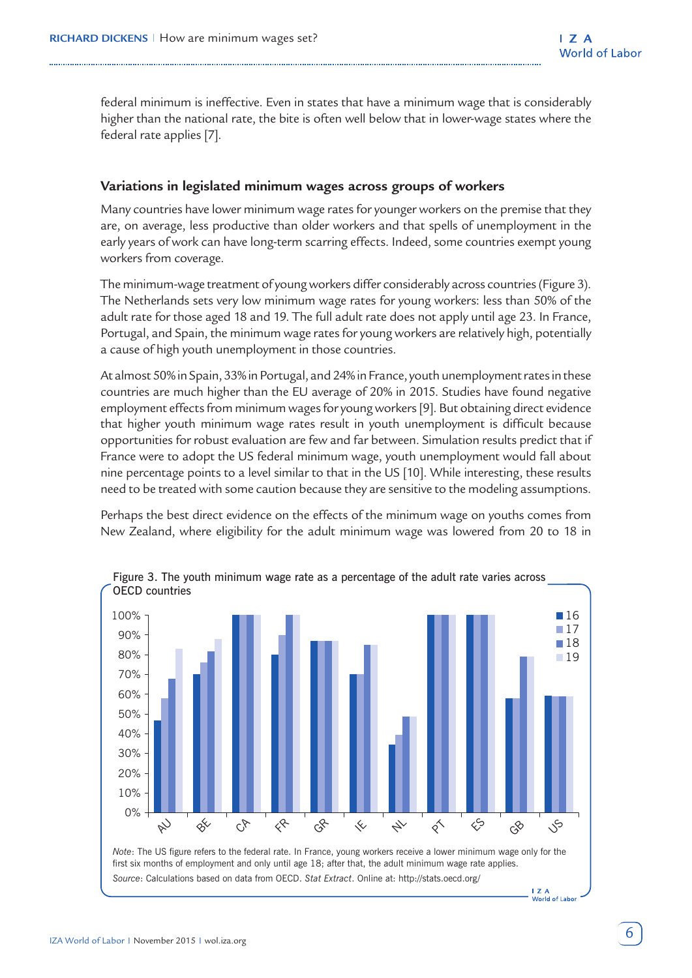federal minimum is ineffective. Even in states that have a minimum wage that is considerably higher than the national rate, the bite is often well below that in lower-wage states where the federal rate applies [7].

## **Variations in legislated minimum wages across groups of workers**

Many countries have lower minimum wage rates for younger workers on the premise that they are, on average, less productive than older workers and that spells of unemployment in the early years of work can have long-term scarring effects. Indeed, some countries exempt young workers from coverage.

The minimum-wage treatment of young workers differ considerably across countries (Figure 3). The Netherlands sets very low minimum wage rates for young workers: less than 50% of the adult rate for those aged 18 and 19. The full adult rate does not apply until age 23. In France, Portugal, and Spain, the minimum wage rates for young workers are relatively high, potentially a cause of high youth unemployment in those countries.

At almost 50% in Spain, 33% in Portugal, and 24% in France, youth unemployment rates in these countries are much higher than the EU average of 20% in 2015. Studies have found negative employment effects from minimum wages for young workers [9]. But obtaining direct evidence that higher youth minimum wage rates result in youth unemployment is difficult because opportunities for robust evaluation are few and far between. Simulation results predict that if France were to adopt the US federal minimum wage, youth unemployment would fall about nine percentage points to a level similar to that in the US [10]. While interesting, these results need to be treated with some caution because they are sensitive to the modeling assumptions.

Perhaps the best direct evidence on the effects of the minimum wage on youths comes from New Zealand, where eligibility for the adult minimum wage was lowered from 20 to 18 in

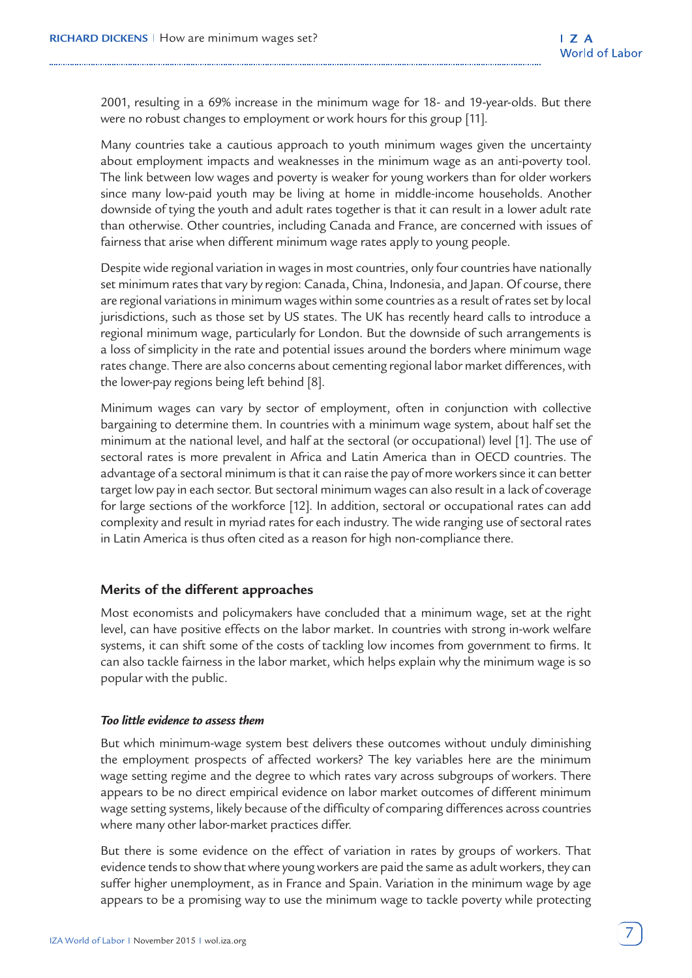2001, resulting in a 69% increase in the minimum wage for 18- and 19-year-olds. But there were no robust changes to employment or work hours for this group [11].

Many countries take a cautious approach to youth minimum wages given the uncertainty about employment impacts and weaknesses in the minimum wage as an anti-poverty tool. The link between low wages and poverty is weaker for young workers than for older workers since many low-paid youth may be living at home in middle-income households. Another downside of tying the youth and adult rates together is that it can result in a lower adult rate than otherwise. Other countries, including Canada and France, are concerned with issues of fairness that arise when different minimum wage rates apply to young people.

Despite wide regional variation in wages in most countries, only four countries have nationally set minimum rates that vary by region: Canada, China, Indonesia, and Japan. Of course, there are regional variations in minimum wages within some countries as a result of rates set by local jurisdictions, such as those set by US states. The UK has recently heard calls to introduce a regional minimum wage, particularly for London. But the downside of such arrangements is a loss of simplicity in the rate and potential issues around the borders where minimum wage rates change. There are also concerns about cementing regional labor market differences, with the lower-pay regions being left behind [8].

Minimum wages can vary by sector of employment, often in conjunction with collective bargaining to determine them. In countries with a minimum wage system, about half set the minimum at the national level, and half at the sectoral (or occupational) level [1]. The use of sectoral rates is more prevalent in Africa and Latin America than in OECD countries. The advantage of a sectoral minimum is that it can raise the pay of more workers since it can better target low pay in each sector. But sectoral minimum wages can also result in a lack of coverage for large sections of the workforce [12]. In addition, sectoral or occupational rates can add complexity and result in myriad rates for each industry. The wide ranging use of sectoral rates in Latin America is thus often cited as a reason for high non-compliance there.

#### **Merits of the different approaches**

Most economists and policymakers have concluded that a minimum wage, set at the right level, can have positive effects on the labor market. In countries with strong in-work welfare systems, it can shift some of the costs of tackling low incomes from government to firms. It can also tackle fairness in the labor market, which helps explain why the minimum wage is so popular with the public.

#### *Too little evidence to assess them*

But which minimum-wage system best delivers these outcomes without unduly diminishing the employment prospects of affected workers? The key variables here are the minimum wage setting regime and the degree to which rates vary across subgroups of workers. There appears to be no direct empirical evidence on labor market outcomes of different minimum wage setting systems, likely because of the difficulty of comparing differences across countries where many other labor-market practices differ.

But there is some evidence on the effect of variation in rates by groups of workers. That evidence tends to show that where young workers are paid the same as adult workers, they can suffer higher unemployment, as in France and Spain. Variation in the minimum wage by age appears to be a promising way to use the minimum wage to tackle poverty while protecting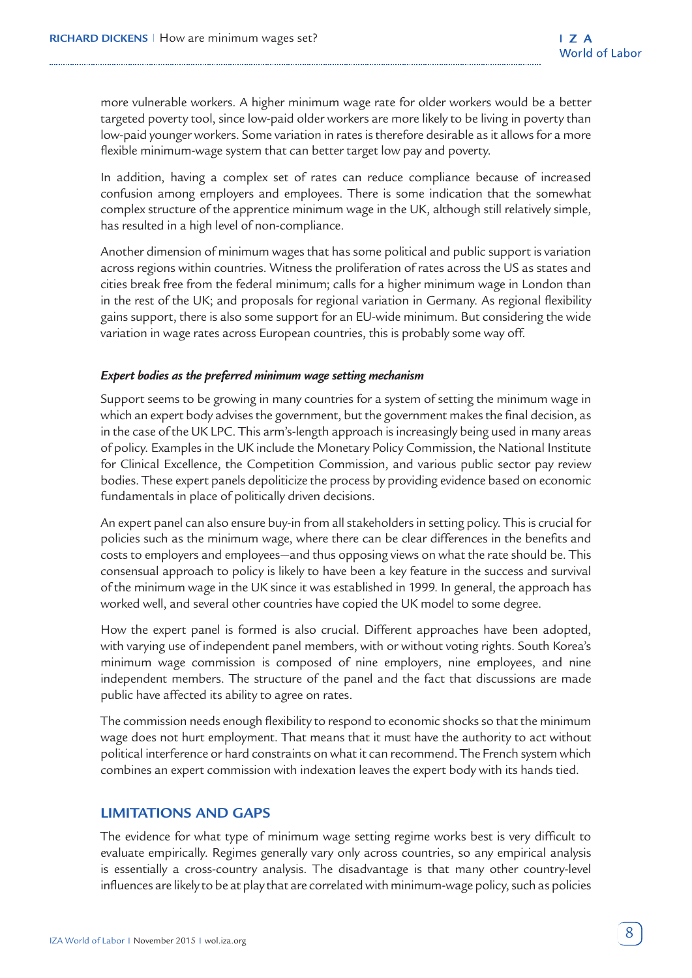more vulnerable workers. A higher minimum wage rate for older workers would be a better targeted poverty tool, since low-paid older workers are more likely to be living in poverty than low-paid younger workers. Some variation in rates is therefore desirable as it allows for a more flexible minimum-wage system that can better target low pay and poverty.

In addition, having a complex set of rates can reduce compliance because of increased confusion among employers and employees. There is some indication that the somewhat complex structure of the apprentice minimum wage in the UK, although still relatively simple, has resulted in a high level of non-compliance.

Another dimension of minimum wages that has some political and public support is variation across regions within countries. Witness the proliferation of rates across the US as states and cities break free from the federal minimum; calls for a higher minimum wage in London than in the rest of the UK; and proposals for regional variation in Germany. As regional flexibility gains support, there is also some support for an EU-wide minimum. But considering the wide variation in wage rates across European countries, this is probably some way off.

#### *Expert bodies as the preferred minimum wage setting mechanism*

Support seems to be growing in many countries for a system of setting the minimum wage in which an expert body advises the government, but the government makes the final decision, as in the case of the UK LPC. This arm's-length approach is increasingly being used in many areas of policy. Examples in the UK include the Monetary Policy Commission, the National Institute for Clinical Excellence, the Competition Commission, and various public sector pay review bodies. These expert panels depoliticize the process by providing evidence based on economic fundamentals in place of politically driven decisions.

An expert panel can also ensure buy-in from all stakeholders in setting policy. This is crucial for policies such as the minimum wage, where there can be clear differences in the benefits and costs to employers and employees—and thus opposing views on what the rate should be. This consensual approach to policy is likely to have been a key feature in the success and survival of the minimum wage in the UK since it was established in 1999. In general, the approach has worked well, and several other countries have copied the UK model to some degree.

How the expert panel is formed is also crucial. Different approaches have been adopted, with varying use of independent panel members, with or without voting rights. South Korea's minimum wage commission is composed of nine employers, nine employees, and nine independent members. The structure of the panel and the fact that discussions are made public have affected its ability to agree on rates.

The commission needs enough flexibility to respond to economic shocks so that the minimum wage does not hurt employment. That means that it must have the authority to act without political interference or hard constraints on what it can recommend. The French system which combines an expert commission with indexation leaves the expert body with its hands tied.

## **LIMITATIONS AND GAPS**

The evidence for what type of minimum wage setting regime works best is very difficult to evaluate empirically. Regimes generally vary only across countries, so any empirical analysis is essentially a cross-country analysis. The disadvantage is that many other country-level influences are likely to be at play that are correlated with minimum-wage policy, such as policies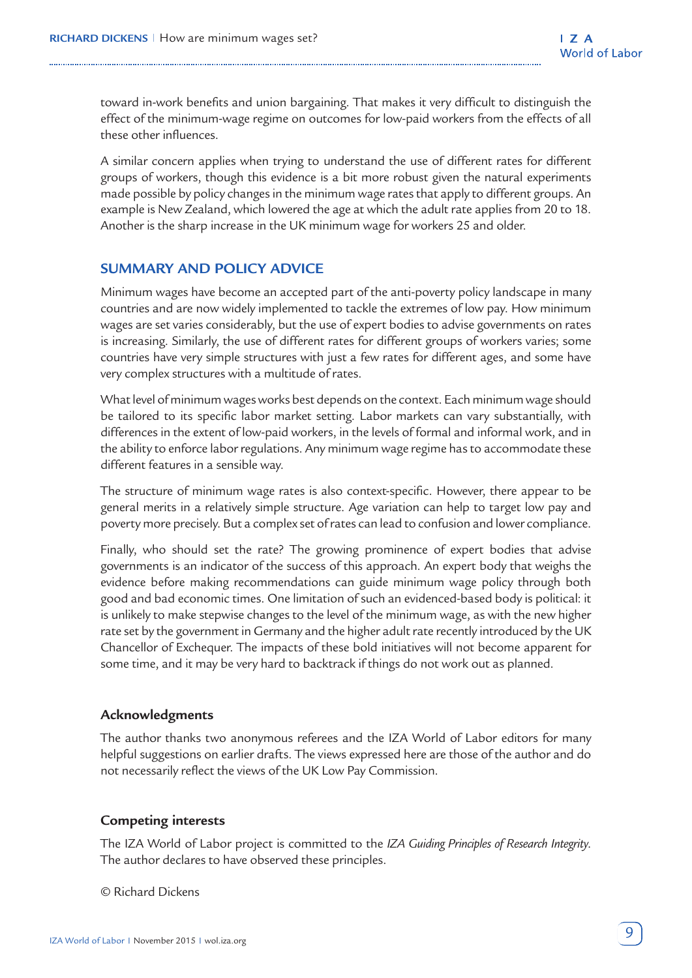toward in-work benefits and union bargaining. That makes it very difficult to distinguish the effect of the minimum-wage regime on outcomes for low-paid workers from the effects of all these other influences.

A similar concern applies when trying to understand the use of different rates for different groups of workers, though this evidence is a bit more robust given the natural experiments made possible by policy changes in the minimum wage rates that apply to different groups. An example is New Zealand, which lowered the age at which the adult rate applies from 20 to 18. Another is the sharp increase in the UK minimum wage for workers 25 and older.

## **SUMMARY AND POLICY ADVICE**

Minimum wages have become an accepted part of the anti-poverty policy landscape in many countries and are now widely implemented to tackle the extremes of low pay. How minimum wages are set varies considerably, but the use of expert bodies to advise governments on rates is increasing. Similarly, the use of different rates for different groups of workers varies; some countries have very simple structures with just a few rates for different ages, and some have very complex structures with a multitude of rates.

What level of minimum wages works best depends on the context. Each minimum wage should be tailored to its specific labor market setting. Labor markets can vary substantially, with differences in the extent of low-paid workers, in the levels of formal and informal work, and in the ability to enforce labor regulations. Any minimum wage regime has to accommodate these different features in a sensible way.

The structure of minimum wage rates is also context-specific. However, there appear to be general merits in a relatively simple structure. Age variation can help to target low pay and poverty more precisely. But a complex set of rates can lead to confusion and lower compliance.

Finally, who should set the rate? The growing prominence of expert bodies that advise governments is an indicator of the success of this approach. An expert body that weighs the evidence before making recommendations can guide minimum wage policy through both good and bad economic times. One limitation of such an evidenced-based body is political: it is unlikely to make stepwise changes to the level of the minimum wage, as with the new higher rate set by the government in Germany and the higher adult rate recently introduced by the UK Chancellor of Exchequer. The impacts of these bold initiatives will not become apparent for some time, and it may be very hard to backtrack if things do not work out as planned.

#### **Acknowledgments**

The author thanks two anonymous referees and the IZA World of Labor editors for many helpful suggestions on earlier drafts. The views expressed here are those of the author and do not necessarily reflect the views of the UK Low Pay Commission.

## **Competing interests**

The IZA World of Labor project is committed to the *IZA Guiding Principles of Research Integrity*. The author declares to have observed these principles.

© Richard Dickens